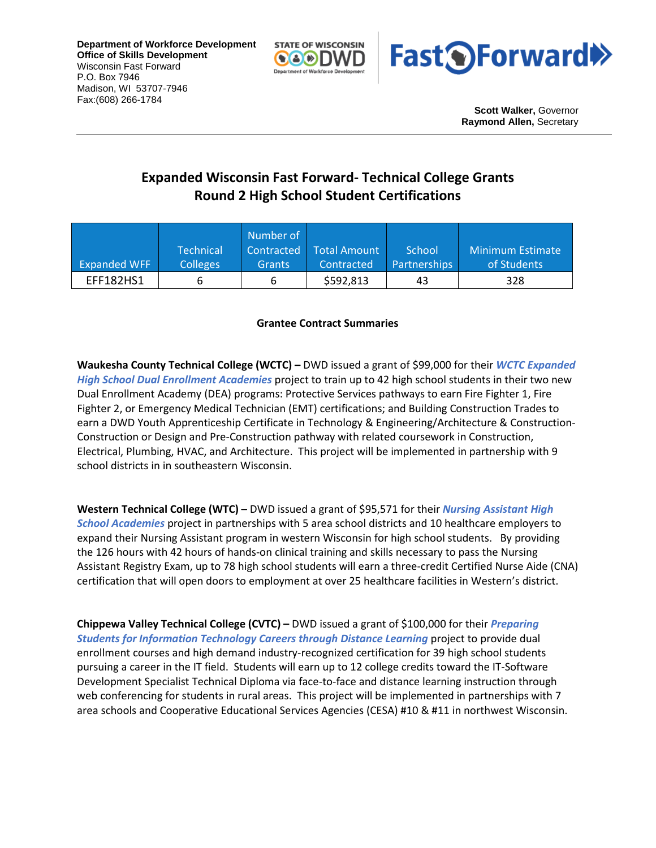**Department of Workforce Development Office of Skills Development** Wisconsin Fast Forward P.O. Box 7946 Madison, WI 53707-7946 Fax:(608) 266-1784





**Scott Walker,** Governor **Raymond Allen,** Secretary

## **Expanded Wisconsin Fast Forward- Technical College Grants Round 2 High School Student Certifications**

|                     |                  | Number of     |              |                     |                  |
|---------------------|------------------|---------------|--------------|---------------------|------------------|
|                     | <b>Technical</b> | Contracted    | Total Amount | School              | Minimum Estimate |
| <b>Expanded WFF</b> | <b>Colleges</b>  | <b>Grants</b> | Contracted   | <b>Partnerships</b> | of Students      |
| EFF182HS1           |                  |               | \$592,813    | 43                  | 328              |

## **Grantee Contract Summaries**

**Waukesha County Technical College (WCTC) –** DWD issued a grant of \$99,000 for their *WCTC Expanded High School Dual Enrollment Academies* project to train up to 42 high school students in their two new Dual Enrollment Academy (DEA) programs: Protective Services pathways to earn Fire Fighter 1, Fire Fighter 2, or Emergency Medical Technician (EMT) certifications; and Building Construction Trades to earn a DWD Youth Apprenticeship Certificate in Technology & Engineering/Architecture & Construction-Construction or Design and Pre-Construction pathway with related coursework in Construction, Electrical, Plumbing, HVAC, and Architecture. This project will be implemented in partnership with 9 school districts in in southeastern Wisconsin.

**Western Technical College (WTC) –** DWD issued a grant of \$95,571 for their *Nursing Assistant High School Academies* project in partnerships with 5 area school districts and 10 healthcare employers to expand their Nursing Assistant program in western Wisconsin for high school students. By providing the 126 hours with 42 hours of hands-on clinical training and skills necessary to pass the Nursing Assistant Registry Exam, up to 78 high school students will earn a three-credit Certified Nurse Aide (CNA) certification that will open doors to employment at over 25 healthcare facilities in Western's district.

**Chippewa Valley Technical College (CVTC) –** DWD issued a grant of \$100,000 for their *Preparing Students for Information Technology Careers through Distance Learning* project to provide dual enrollment courses and high demand industry-recognized certification for 39 high school students pursuing a career in the IT field. Students will earn up to 12 college credits toward the IT-Software Development Specialist Technical Diploma via face-to-face and distance learning instruction through web conferencing for students in rural areas. This project will be implemented in partnerships with 7 area schools and Cooperative Educational Services Agencies (CESA) #10 & #11 in northwest Wisconsin.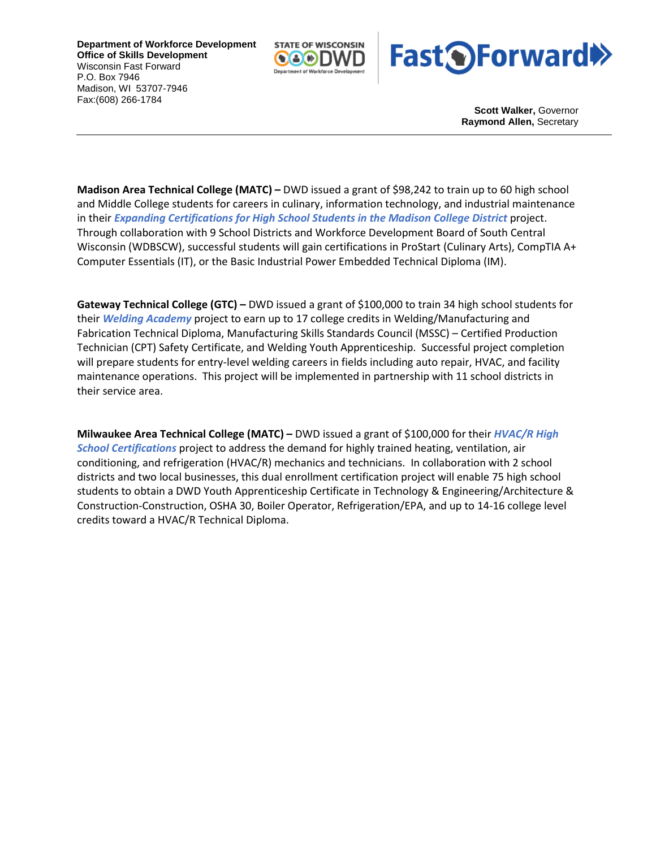**Department of Workforce Development Office of Skills Development** Wisconsin Fast Forward P.O. Box 7946 Madison, WI 53707-7946 Fax:(608) 266-1784





**Scott Walker,** Governor **Raymond Allen,** Secretary

**Madison Area Technical College (MATC) –** DWD issued a grant of \$98,242 to train up to 60 high school and Middle College students for careers in culinary, information technology, and industrial maintenance in their *Expanding Certifications for High School Students in the Madison College District* project. Through collaboration with 9 School Districts and Workforce Development Board of South Central Wisconsin (WDBSCW), successful students will gain certifications in ProStart (Culinary Arts), CompTIA A+ Computer Essentials (IT), or the Basic Industrial Power Embedded Technical Diploma (IM).

**Gateway Technical College (GTC) –** DWD issued a grant of \$100,000 to train 34 high school students for their *Welding Academy* project to earn up to 17 college credits in Welding/Manufacturing and Fabrication Technical Diploma, Manufacturing Skills Standards Council (MSSC) – Certified Production Technician (CPT) Safety Certificate, and Welding Youth Apprenticeship. Successful project completion will prepare students for entry-level welding careers in fields including auto repair, HVAC, and facility maintenance operations. This project will be implemented in partnership with 11 school districts in their service area.

**Milwaukee Area Technical College (MATC) –** DWD issued a grant of \$100,000 for their *HVAC/R High School Certifications* project to address the demand for highly trained heating, ventilation, air conditioning, and refrigeration (HVAC/R) mechanics and technicians. In collaboration with 2 school districts and two local businesses, this dual enrollment certification project will enable 75 high school students to obtain a DWD Youth Apprenticeship Certificate in Technology & Engineering/Architecture & Construction-Construction, OSHA 30, Boiler Operator, Refrigeration/EPA, and up to 14-16 college level credits toward a HVAC/R Technical Diploma.